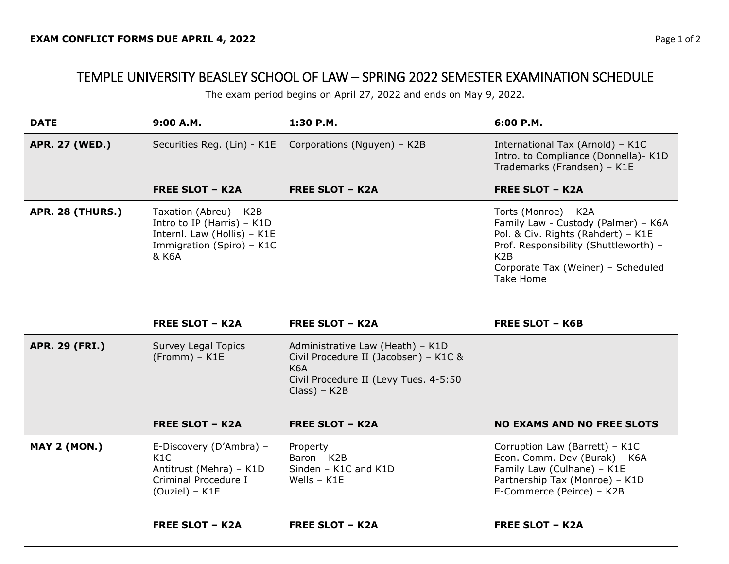## TEMPLE UNIVERSITY BEASLEY SCHOOL OF LAW – SPRING 2022 SEMESTER EXAMINATION SCHEDULE

The exam period begins on April 27, 2022 and ends on May 9, 2022.

| <b>DATE</b>             | 9:00 A.M.                                                                                                                   | 1:30 P.M.                                                | 6:00 P.M.                                                                                                                                                                                                         |
|-------------------------|-----------------------------------------------------------------------------------------------------------------------------|----------------------------------------------------------|-------------------------------------------------------------------------------------------------------------------------------------------------------------------------------------------------------------------|
| <b>APR. 27 (WED.)</b>   |                                                                                                                             | Securities Reg. (Lin) - K1E  Corporations (Nguyen) - K2B | International Tax (Arnold) - K1C<br>Intro. to Compliance (Donnella) - K1D<br>Trademarks (Frandsen) - K1E                                                                                                          |
|                         | <b>FREE SLOT - K2A</b>                                                                                                      | <b>FREE SLOT - K2A</b>                                   | <b>FREE SLOT - K2A</b>                                                                                                                                                                                            |
| <b>APR. 28 (THURS.)</b> | Taxation (Abreu) - K2B<br>Intro to IP (Harris) $-$ K1D<br>Internl. Law (Hollis) - K1E<br>Immigration (Spiro) - K1C<br>& K6A |                                                          | Torts (Monroe) - K2A<br>Family Law - Custody (Palmer) - K6A<br>Pol. & Civ. Rights (Rahdert) - K1E<br>Prof. Responsibility (Shuttleworth) -<br>K <sub>2</sub> B<br>Corporate Tax (Weiner) - Scheduled<br>Take Home |

|                       | <b>FREE SLOT - K2A</b>                                                                                | <b>FREE SLOT - K2A</b>                                                                                                                       | <b>FREE SLOT - K6B</b>                                                                                                                                       |
|-----------------------|-------------------------------------------------------------------------------------------------------|----------------------------------------------------------------------------------------------------------------------------------------------|--------------------------------------------------------------------------------------------------------------------------------------------------------------|
| <b>APR. 29 (FRI.)</b> | <b>Survey Legal Topics</b><br>$(Fromm) - K1E$                                                         | Administrative Law (Heath) - K1D<br>Civil Procedure II (Jacobsen) - K1C &<br>K6A<br>Civil Procedure II (Levy Tues. 4-5:50<br>$Class$ ) – K2B |                                                                                                                                                              |
|                       | <b>FREE SLOT - K2A</b>                                                                                | <b>FREE SLOT - K2A</b>                                                                                                                       | <b>NO EXAMS AND NO FREE SLOTS</b>                                                                                                                            |
| <b>MAY 2 (MON.)</b>   | E-Discovery (D'Ambra) –<br>K1C<br>Antitrust (Mehra) – K1D<br>Criminal Procedure I<br>$(Ouziel) - K1E$ | Property<br>Baron - K2B<br>Sinden - K1C and K1D<br>Wells - K1E                                                                               | Corruption Law (Barrett) - K1C<br>Econ. Comm. Dev (Burak) - K6A<br>Family Law (Culhane) - K1E<br>Partnership Tax (Monroe) - K1D<br>E-Commerce (Peirce) - K2B |
|                       | <b>FREE SLOT - K2A</b>                                                                                | <b>FREE SLOT – K2A</b>                                                                                                                       | <b>FREE SLOT - K2A</b>                                                                                                                                       |